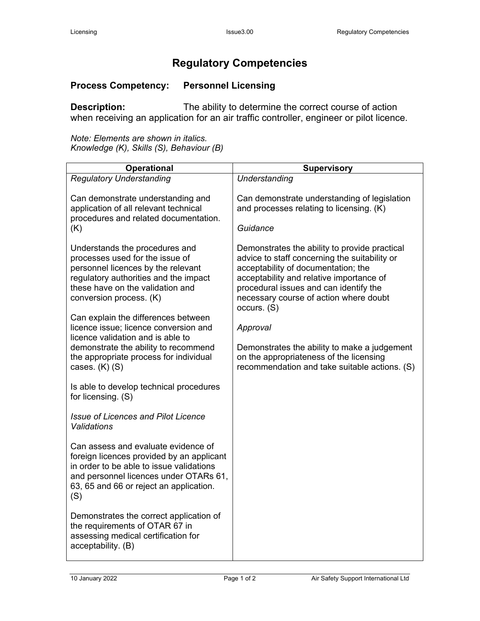## **Regulatory Competencies**

## **Process Competency: Personnel Licensing**

**Description:** The ability to determine the correct course of action when receiving an application for an air traffic controller, engineer or pilot licence.

*Note: Elements are shown in italics. Knowledge (K), Skills (S), Behaviour (B)*

| <b>Operational</b>                                                                                                                                                                                                       | <b>Supervisory</b>                                                                                                                                                                                                                                                                   |
|--------------------------------------------------------------------------------------------------------------------------------------------------------------------------------------------------------------------------|--------------------------------------------------------------------------------------------------------------------------------------------------------------------------------------------------------------------------------------------------------------------------------------|
| <b>Regulatory Understanding</b>                                                                                                                                                                                          | Understanding                                                                                                                                                                                                                                                                        |
| Can demonstrate understanding and<br>application of all relevant technical<br>procedures and related documentation.<br>(K)                                                                                               | Can demonstrate understanding of legislation<br>and processes relating to licensing. (K)<br>Guidance                                                                                                                                                                                 |
| Understands the procedures and<br>processes used for the issue of<br>personnel licences by the relevant<br>regulatory authorities and the impact<br>these have on the validation and<br>conversion process. (K)          | Demonstrates the ability to provide practical<br>advice to staff concerning the suitability or<br>acceptability of documentation; the<br>acceptability and relative importance of<br>procedural issues and can identify the<br>necessary course of action where doubt<br>occurs. (S) |
| Can explain the differences between<br>licence issue; licence conversion and<br>licence validation and is able to<br>demonstrate the ability to recommend                                                                | Approval<br>Demonstrates the ability to make a judgement                                                                                                                                                                                                                             |
| the appropriate process for individual<br>cases. $(K)$ $(S)$                                                                                                                                                             | on the appropriateness of the licensing<br>recommendation and take suitable actions. (S)                                                                                                                                                                                             |
| Is able to develop technical procedures<br>for licensing. (S)                                                                                                                                                            |                                                                                                                                                                                                                                                                                      |
| <b>Issue of Licences and Pilot Licence</b><br><b>Validations</b>                                                                                                                                                         |                                                                                                                                                                                                                                                                                      |
| Can assess and evaluate evidence of<br>foreign licences provided by an applicant<br>in order to be able to issue validations<br>and personnel licences under OTARs 61,<br>63, 65 and 66 or reject an application.<br>(S) |                                                                                                                                                                                                                                                                                      |
| Demonstrates the correct application of<br>the requirements of OTAR 67 in<br>assessing medical certification for<br>acceptability. (B)                                                                                   |                                                                                                                                                                                                                                                                                      |